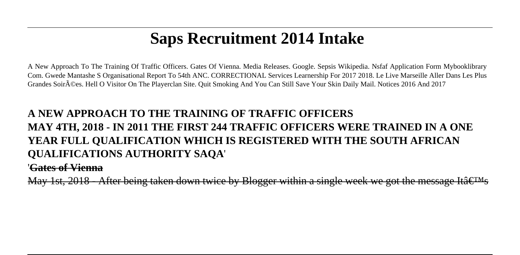# **Saps Recruitment 2014 Intake**

A New Approach To The Training Of Traffic Officers. Gates Of Vienna. Media Releases. Google. Sepsis Wikipedia. Nsfaf Application Form Mybooklibrary Com. Gwede Mantashe S Organisational Report To 54th ANC. CORRECTIONAL Services Learnership For 2017 2018. Le Live Marseille Aller Dans Les Plus Grandes Soir $\tilde{A}$ ©es. Hell O Visitor On The Playerclan Site. Quit Smoking And You Can Still Save Your Skin Daily Mail. Notices 2016 And 2017

# **A NEW APPROACH TO THE TRAINING OF TRAFFIC OFFICERS MAY 4TH, 2018 - IN 2011 THE FIRST 244 TRAFFIC OFFICERS WERE TRAINED IN A ONE YEAR FULL QUALIFICATION WHICH IS REGISTERED WITH THE SOUTH AFRICAN QUALIFICATIONS AUTHORITY SAQA**'

'**Gates of Vienna**

May 1st, 2018 - After being taken down twice by Blogger within a single week we got the message Itâ $\epsilon_{\text{TMS}}$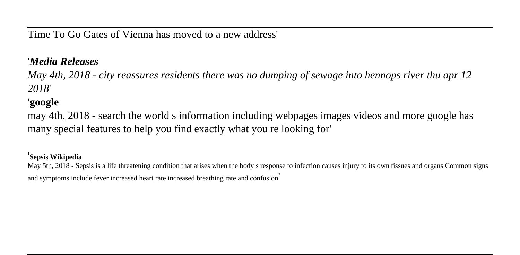#### Time To Go Gates of Vienna has moved to a new address'

#### '*Media Releases*

*May 4th, 2018 - city reassures residents there was no dumping of sewage into hennops river thu apr 12 2018*'

#### '**google**

may 4th, 2018 - search the world s information including webpages images videos and more google has many special features to help you find exactly what you re looking for'

#### '**Sepsis Wikipedia**

May 5th, 2018 - Sepsis is a life threatening condition that arises when the body s response to infection causes injury to its own tissues and organs Common signs and symptoms include fever increased heart rate increased breathing rate and confusion'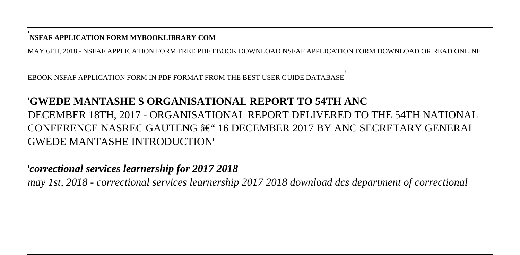#### '**NSFAF APPLICATION FORM MYBOOKLIBRARY COM**

MAY 6TH, 2018 - NSFAF APPLICATION FORM FREE PDF EBOOK DOWNLOAD NSFAF APPLICATION FORM DOWNLOAD OR READ ONLINE

EBOOK NSFAF APPLICATION FORM IN PDF FORMAT FROM THE BEST USER GUIDE DATABASE'

## '**GWEDE MANTASHE S ORGANISATIONAL REPORT TO 54TH ANC**

DECEMBER 18TH, 2017 - ORGANISATIONAL REPORT DELIVERED TO THE 54TH NATIONAL CONFERENCE NASREC GAUTENG  $\hat{a}\in$  16 DECEMBER 2017 BY ANC SECRETARY GENERAL GWEDE MANTASHE INTRODUCTION'

'*correctional services learnership for 2017 2018*

*may 1st, 2018 - correctional services learnership 2017 2018 download dcs department of correctional*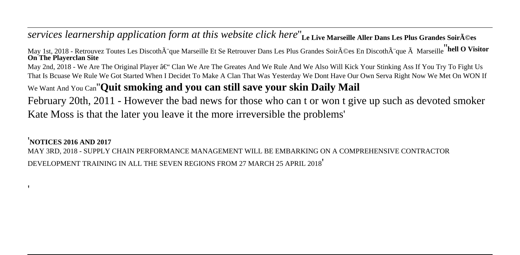*services learnership application form at this website click here*''**Le Live Marseille Aller Dans Les Plus Grandes Soirées** May 1st, 2018 - Retrouvez Toutes Les DiscothÂ<sup>-</sup>que Marseille Et Se Retrouver Dans Les Plus Grandes Soir©es En DiscothÂ<sup>-</sup>que Marseille<sup>"hell</sup> O Visitor **On The Playerclan Site**

May 2nd, 2018 - We Are The Original Player  $\hat{a}\in C'$  Clan We Are The Greates And We Rule And We Also Will Kick Your Stinking Ass If You Try To Fight Us That Is Bcuase We Rule We Got Started When I Decidet To Make A Clan That Was Yesterday We Dont Have Our Own Serva Right Now We Met On WON If

### We Want And You Can''**Quit smoking and you can still save your skin Daily Mail**

February 20th, 2011 - However the bad news for those who can t or won t give up such as devoted smoker Kate Moss is that the later you leave it the more irreversible the problems'

'**NOTICES 2016 AND 2017**

'

MAY 3RD, 2018 - SUPPLY CHAIN PERFORMANCE MANAGEMENT WILL BE EMBARKING ON A COMPREHENSIVE CONTRACTOR DEVELOPMENT TRAINING IN ALL THE SEVEN REGIONS FROM 27 MARCH 25 APRIL 2018'